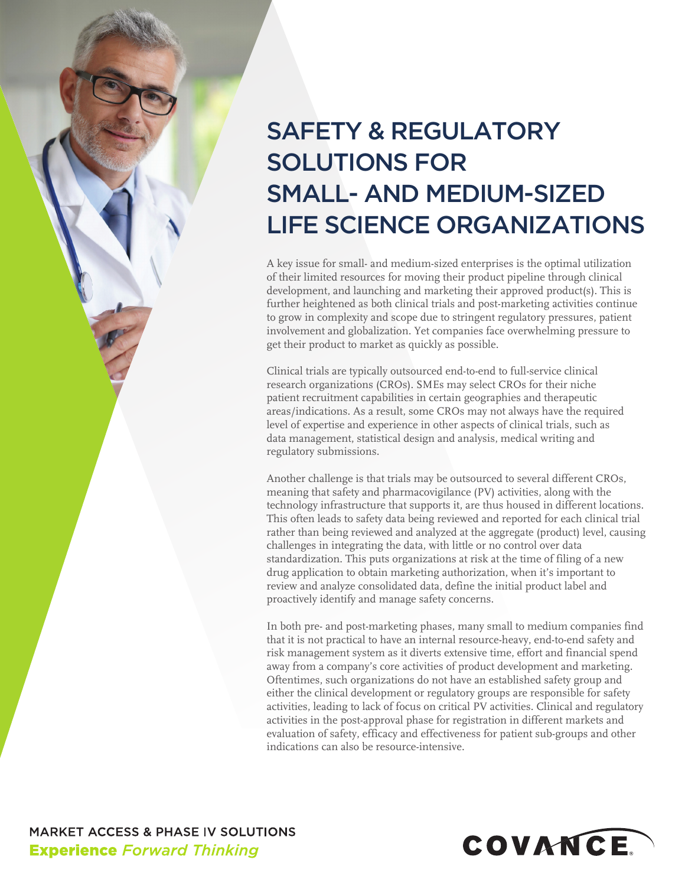# SAFETY & REGULATORY SOLUTIONS FOR SMALL- AND MEDIUM-SIZED LIFE SCIENCE ORGANIZATIONS

A key issue for small- and medium-sized enterprises is the optimal utilization of their limited resources for moving their product pipeline through clinical development, and launching and marketing their approved product(s). This is further heightened as both clinical trials and post-marketing activities continue to grow in complexity and scope due to stringent regulatory pressures, patient involvement and globalization. Yet companies face overwhelming pressure to get their product to market as quickly as possible.

Clinical trials are typically outsourced end-to-end to full-service clinical research organizations (CROs). SMEs may select CROs for their niche patient recruitment capabilities in certain geographies and therapeutic areas/indications. As a result, some CROs may not always have the required level of expertise and experience in other aspects of clinical trials, such as data management, statistical design and analysis, medical writing and regulatory submissions.

Another challenge is that trials may be outsourced to several different CROs, meaning that safety and pharmacovigilance (PV) activities, along with the technology infrastructure that supports it, are thus housed in different locations. This often leads to safety data being reviewed and reported for each clinical trial rather than being reviewed and analyzed at the aggregate (product) level, causing challenges in integrating the data, with little or no control over data standardization. This puts organizations at risk at the time of filing of a new drug application to obtain marketing authorization, when it's important to review and analyze consolidated data, define the initial product label and proactively identify and manage safety concerns.

In both pre- and post-marketing phases, many small to medium companies find that it is not practical to have an internal resource-heavy, end-to-end safety and risk management system as it diverts extensive time, effort and financial spend away from a company's core activities of product development and marketing. Oftentimes, such organizations do not have an established safety group and either the clinical development or regulatory groups are responsible for safety activities, leading to lack of focus on critical PV activities. Clinical and regulatory activities in the post-approval phase for registration in different markets and evaluation of safety, efficacy and effectiveness for patient sub-groups and other indications can also be resource-intensive.

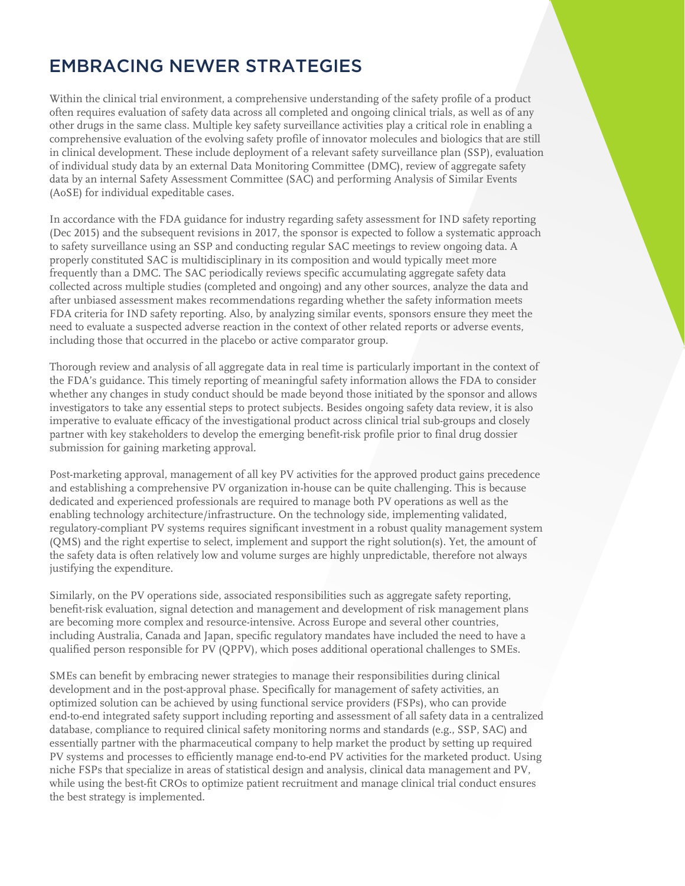## EMBRACING NEWER STRATEGIES

Within the clinical trial environment, a comprehensive understanding of the safety profile of a product often requires evaluation of safety data across all completed and ongoing clinical trials, as well as of any other drugs in the same class. Multiple key safety surveillance activities play a critical role in enabling a comprehensive evaluation of the evolving safety profile of innovator molecules and biologics that are still in clinical development. These include deployment of a relevant safety surveillance plan (SSP), evaluation of individual study data by an external Data Monitoring Committee (DMC), review of aggregate safety data by an internal Safety Assessment Committee (SAC) and performing Analysis of Similar Events (AoSE) for individual expeditable cases.

In accordance with the FDA guidance for industry regarding safety assessment for IND safety reporting (Dec 2015) and the subsequent revisions in 2017, the sponsor is expected to follow a systematic approach to safety surveillance using an SSP and conducting regular SAC meetings to review ongoing data. A properly constituted SAC is multidisciplinary in its composition and would typically meet more frequently than a DMC. The SAC periodically reviews specific accumulating aggregate safety data collected across multiple studies (completed and ongoing) and any other sources, analyze the data and after unbiased assessment makes recommendations regarding whether the safety information meets FDA criteria for IND safety reporting. Also, by analyzing similar events, sponsors ensure they meet the need to evaluate a suspected adverse reaction in the context of other related reports or adverse events, including those that occurred in the placebo or active comparator group.

Thorough review and analysis of all aggregate data in real time is particularly important in the context of the FDA's guidance. This timely reporting of meaningful safety information allows the FDA to consider whether any changes in study conduct should be made beyond those initiated by the sponsor and allows investigators to take any essential steps to protect subjects. Besides ongoing safety data review, it is also imperative to evaluate efficacy of the investigational product across clinical trial sub-groups and closely partner with key stakeholders to develop the emerging benefit-risk profile prior to final drug dossier submission for gaining marketing approval.

Post-marketing approval, management of all key PV activities for the approved product gains precedence and establishing a comprehensive PV organization in-house can be quite challenging. This is because dedicated and experienced professionals are required to manage both PV operations as well as the enabling technology architecture/infrastructure. On the technology side, implementing validated, regulatory-compliant PV systems requires significant investment in a robust quality management system (QMS) and the right expertise to select, implement and support the right solution(s). Yet, the amount of the safety data is often relatively low and volume surges are highly unpredictable, therefore not always justifying the expenditure.

Similarly, on the PV operations side, associated responsibilities such as aggregate safety reporting, benefit-risk evaluation, signal detection and management and development of risk management plans are becoming more complex and resource-intensive. Across Europe and several other countries, including Australia, Canada and Japan, specific regulatory mandates have included the need to have a qualified person responsible for PV (QPPV), which poses additional operational challenges to SMEs.

SMEs can benefit by embracing newer strategies to manage their responsibilities during clinical development and in the post-approval phase. Specifically for management of safety activities, an optimized solution can be achieved by using functional service providers (FSPs), who can provide end-to-end integrated safety support including reporting and assessment of all safety data in a centralized database, compliance to required clinical safety monitoring norms and standards (e.g., SSP, SAC) and essentially partner with the pharmaceutical company to help market the product by setting up required PV systems and processes to efficiently manage end-to-end PV activities for the marketed product. Using niche FSPs that specialize in areas of statistical design and analysis, clinical data management and PV, while using the best-fit CROs to optimize patient recruitment and manage clinical trial conduct ensures the best strategy is implemented.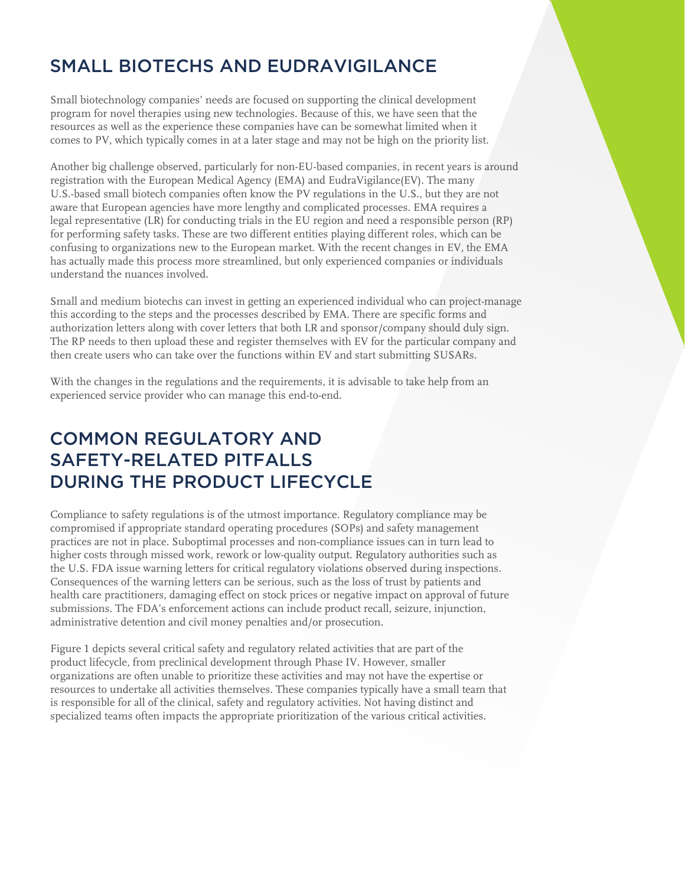# SMALL BIOTECHS AND EUDRAVIGILANCE

Small biotechnology companies' needs are focused on supporting the clinical development program for novel therapies using new technologies. Because of this, we have seen that the resources as well as the experience these companies have can be somewhat limited when it comes to PV, which typically comes in at a later stage and may not be high on the priority list.

Another big challenge observed, particularly for non-EU-based companies, in recent years is around registration with the European Medical Agency (EMA) and EudraVigilance(EV). The many U.S.-based small biotech companies often know the PV regulations in the U.S., but they are not aware that European agencies have more lengthy and complicated processes. EMA requires a legal representative (LR) for conducting trials in the EU region and need a responsible person (RP) for performing safety tasks. These are two different entities playing different roles, which can be confusing to organizations new to the European market. With the recent changes in EV, the EMA has actually made this process more streamlined, but only experienced companies or individuals understand the nuances involved.

Small and medium biotechs can invest in getting an experienced individual who can project-manage this according to the steps and the processes described by EMA. There are specific forms and authorization letters along with cover letters that both LR and sponsor/company should duly sign. The RP needs to then upload these and register themselves with EV for the particular company and then create users who can take over the functions within EV and start submitting SUSARs.

With the changes in the regulations and the requirements, it is advisable to take help from an experienced service provider who can manage this end-to-end.

## COMMON REGULATORY AND SAFETY-RELATED PITFALLS DURING THE PRODUCT LIFECYCLE

Compliance to safety regulations is of the utmost importance. Regulatory compliance may be compromised if appropriate standard operating procedures (SOPs) and safety management practices are not in place. Suboptimal processes and non-compliance issues can in turn lead to higher costs through missed work, rework or low-quality output. Regulatory authorities such as the U.S. FDA issue warning letters for critical regulatory violations observed during inspections. Consequences of the warning letters can be serious, such as the loss of trust by patients and health care practitioners, damaging effect on stock prices or negative impact on approval of future submissions. The FDA's enforcement actions can include product recall, seizure, injunction, administrative detention and civil money penalties and/or prosecution.

Figure 1 depicts several critical safety and regulatory related activities that are part of the product lifecycle, from preclinical development through Phase IV. However, smaller organizations are often unable to prioritize these activities and may not have the expertise or resources to undertake all activities themselves. These companies typically have a small team that is responsible for all of the clinical, safety and regulatory activities. Not having distinct and specialized teams often impacts the appropriate prioritization of the various critical activities.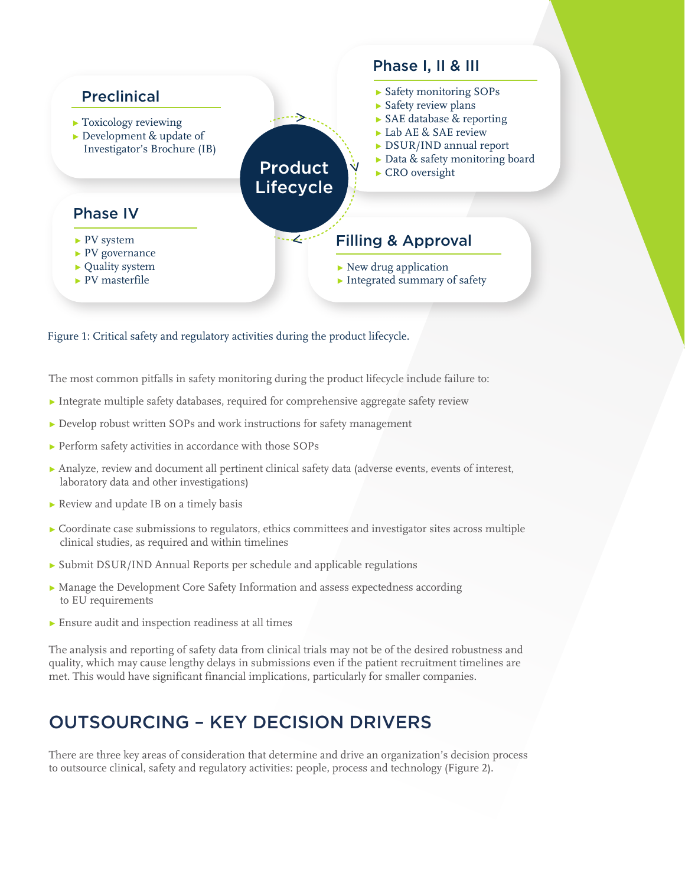

#### Figure 1: Critical safety and regulatory activities during the product lifecycle.

The most common pitfalls in safety monitoring during the product lifecycle include failure to:

- ▸ Integrate multiple safety databases, required for comprehensive aggregate safety review
- ▸ Develop robust written SOPs and work instructions for safety management
- ▸ Perform safety activities in accordance with those SOPs
- ▸ Analyze, review and document all pertinent clinical safety data (adverse events, events of interest, laboratory data and other investigations)
- ▸ Review and update IB on a timely basis
- ▸ Coordinate case submissions to regulators, ethics committees and investigator sites across multiple clinical studies, as required and within timelines
- ▸ Submit DSUR/IND Annual Reports per schedule and applicable regulations
- ▸ Manage the Development Core Safety Information and assess expectedness according to EU requirements
- ▸ Ensure audit and inspection readiness at all times

The analysis and reporting of safety data from clinical trials may not be of the desired robustness and quality, which may cause lengthy delays in submissions even if the patient recruitment timelines are met. This would have significant financial implications, particularly for smaller companies.

#### OUTSOURCING – KEY DECISION DRIVERS

There are three key areas of consideration that determine and drive an organization's decision process to outsource clinical, safety and regulatory activities: people, process and technology (Figure 2).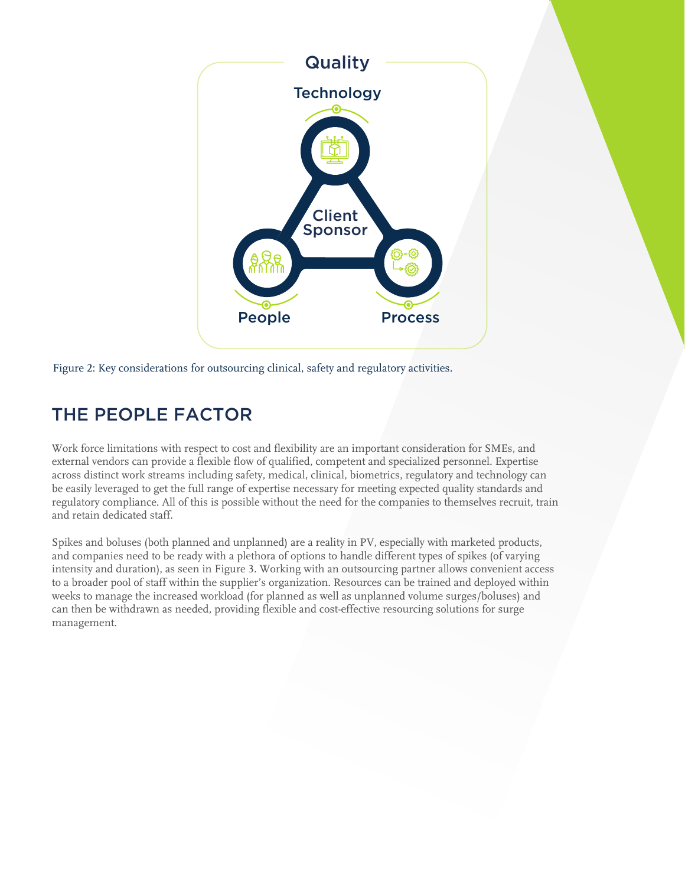

Figure 2: Key considerations for outsourcing clinical, safety and regulatory activities.

### THE PEOPLE FACTOR

Work force limitations with respect to cost and flexibility are an important consideration for SMEs, and external vendors can provide a flexible flow of qualified, competent and specialized personnel. Expertise across distinct work streams including safety, medical, clinical, biometrics, regulatory and technology can be easily leveraged to get the full range of expertise necessary for meeting expected quality standards and regulatory compliance. All of this is possible without the need for the companies to themselves recruit, train and retain dedicated staff.

Spikes and boluses (both planned and unplanned) are a reality in PV, especially with marketed products, and companies need to be ready with a plethora of options to handle different types of spikes (of varying intensity and duration), as seen in Figure 3. Working with an outsourcing partner allows convenient access to a broader pool of staff within the supplier's organization. Resources can be trained and deployed within weeks to manage the increased workload (for planned as well as unplanned volume surges/boluses) and can then be withdrawn as needed, providing flexible and cost-effective resourcing solutions for surge management.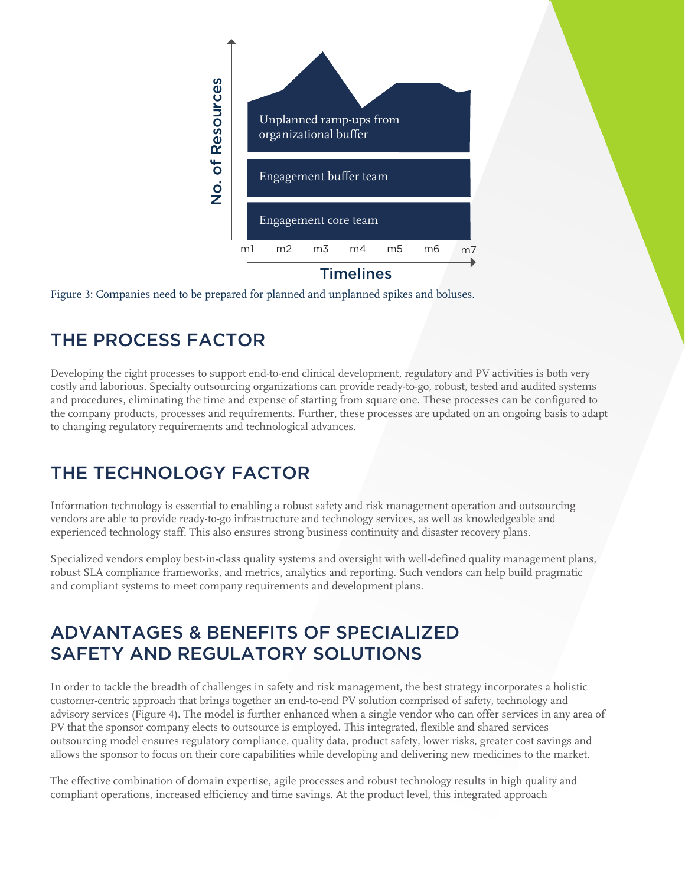

Figure 3: Companies need to be prepared for planned and unplanned spikes and boluses.

### THE PROCESS FACTOR

Developing the right processes to support end-to-end clinical development, regulatory and PV activities is both very costly and laborious. Specialty outsourcing organizations can provide ready-to-go, robust, tested and audited systems and procedures, eliminating the time and expense of starting from square one. These processes can be configured to the company products, processes and requirements. Further, these processes are updated on an ongoing basis to adapt to changing regulatory requirements and technological advances.

#### THE TECHNOLOGY FACTOR

Information technology is essential to enabling a robust safety and risk management operation and outsourcing vendors are able to provide ready-to-go infrastructure and technology services, as well as knowledgeable and experienced technology staff. This also ensures strong business continuity and disaster recovery plans.

Specialized vendors employ best-in-class quality systems and oversight with well-defined quality management plans, robust SLA compliance frameworks, and metrics, analytics and reporting. Such vendors can help build pragmatic and compliant systems to meet company requirements and development plans.

#### ADVANTAGES & BENEFITS OF SPECIALIZED SAFETY AND REGULATORY SOLUTIONS

In order to tackle the breadth of challenges in safety and risk management, the best strategy incorporates a holistic customer-centric approach that brings together an end-to-end PV solution comprised of safety, technology and advisory services (Figure 4). The model is further enhanced when a single vendor who can offer services in any area of PV that the sponsor company elects to outsource is employed. This integrated, flexible and shared services outsourcing model ensures regulatory compliance, quality data, product safety, lower risks, greater cost savings and allows the sponsor to focus on their core capabilities while developing and delivering new medicines to the market.

The effective combination of domain expertise, agile processes and robust technology results in high quality and compliant operations, increased efficiency and time savings. At the product level, this integrated approach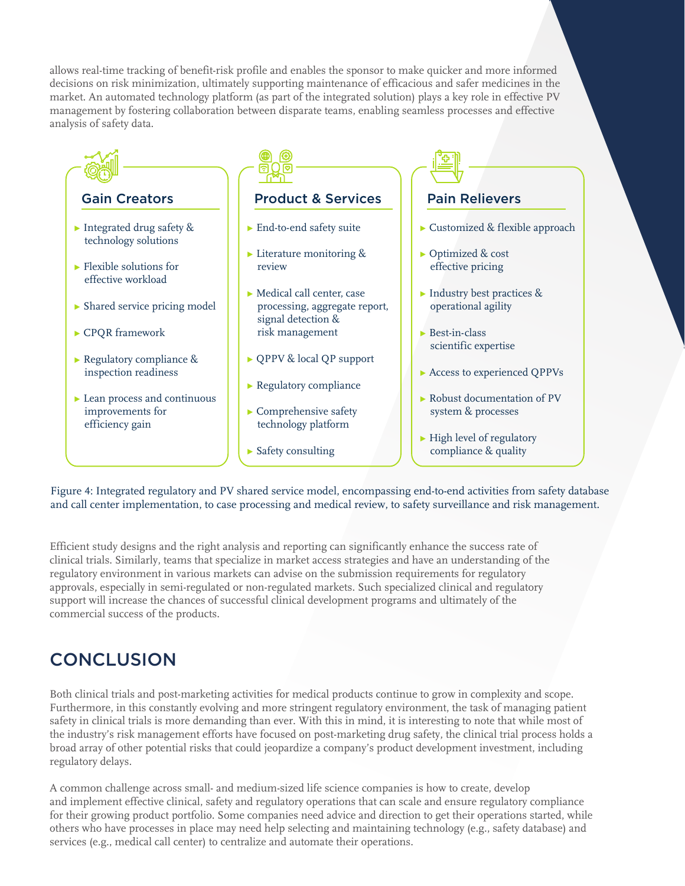allows real-time tracking of benefit-risk profile and enables the sponsor to make quicker and more informed decisions on risk minimization, ultimately supporting maintenance of efficacious and safer medicines in the market. An automated technology platform (as part of the integrated solution) plays a key role in effective PV management by fostering collaboration between disparate teams, enabling seamless processes and effective analysis of safety data.



Figure 4: Integrated regulatory and PV shared service model, encompassing end-to-end activities from safety database and call center implementation, to case processing and medical review, to safety surveillance and risk management.

Efficient study designs and the right analysis and reporting can significantly enhance the success rate of clinical trials. Similarly, teams that specialize in market access strategies and have an understanding of the regulatory environment in various markets can advise on the submission requirements for regulatory approvals, especially in semi-regulated or non-regulated markets. Such specialized clinical and regulatory support will increase the chances of successful clinical development programs and ultimately of the commercial success of the products.

### **CONCLUSION**

Both clinical trials and post-marketing activities for medical products continue to grow in complexity and scope. Furthermore, in this constantly evolving and more stringent regulatory environment, the task of managing patient safety in clinical trials is more demanding than ever. With this in mind, it is interesting to note that while most of the industry's risk management efforts have focused on post-marketing drug safety, the clinical trial process holds a broad array of other potential risks that could jeopardize a company's product development investment, including regulatory delays.

A common challenge across small- and medium-sized life science companies is how to create, develop and implement effective clinical, safety and regulatory operations that can scale and ensure regulatory compliance for their growing product portfolio. Some companies need advice and direction to get their operations started, while others who have processes in place may need help selecting and maintaining technology (e.g., safety database) and services (e.g., medical call center) to centralize and automate their operations.